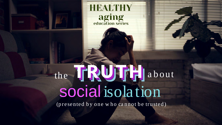

# **HEALTHY** aging<br>education series

# the IRUIRH about social isolation

(presented by one who cannot be trusted)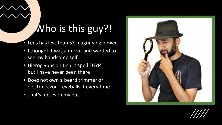# Who is this guy?!

- Lens has less than 5X magnifying power
- I thought it was a mirror and wanted to see my handsome self
- Hieroglyphs on t-shirt spell EGYPT but I have never been there
- Does not own a beard trimmer or electric razor - eyeballs it every time
- That's not even my hat



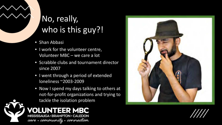# No, really, who is this guy?!

- Shan Abbasi
- I work for the volunteer centre, Volunteer MBC – we care a lot
- Scrabble clubs and tournament director since 2007
- I went through a period of extended loneliness ~2003-2009

**VOLUNTEER MBC** 

MISSISSAUGA · BRAMPTON · CALEDON

care.community.connection

• Now I spend my days talking to others at not-for-profit organizations and trying to tackle the isolation problem





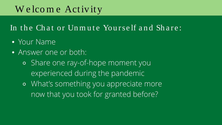# W e lco m e Activity

In the Chat or Unmute Yourself and Share:

- Your Name
- Answer one or both:
	- ⚬ Share one ray-of-hope moment you experienced during the pandemic
	- ⚬ What's something you appreciate more now that you took for granted before?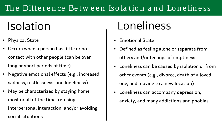# Isolation Loneliness

- Defined as feeling alone or separate from
- others and/or feelings of emptiness
- other events (e.g., divorce, death of a loved
- **Emotional State**
- 
- Loneliness can be caused by isolation or from
	- one, and moving to a new location)
- Loneliness can accompany depression,
	- anxiety, and many addictions and phobias

### The Difference Between Isolation and Loneliness

- **Physical State**
- Occurs when a person has little or no contact with other people (can be over long or short periods of time)
- Negative emotional effects (e.g., increased sadness, restlessness, and loneliness)
- May be characterized by staying home most or all of the time, refusing interpersonal interaction, and/or avoiding social situations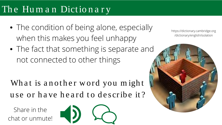## The Human Dictionary

- The condition of being alone, especially when this makes you feel unhappy
- The fact that something is separate and not connected to other things

What is another word you might use or have heard to describe it?

### https://dictionary.cambridge.org /dictionary/english/isolation



Share in the chat or unmute!

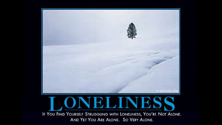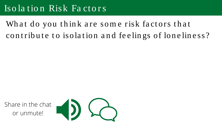### Isolation Risk Factors

What do you think are some risk factors that contribute to isolation and feelings of loneliness?

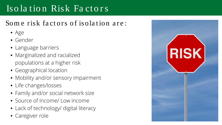### Isolation Risk Factors

### Some risk factors of isolation are:

- $\bullet$  Age
- · Gender
- Language barriers
- Marginalized and racialized populations at a higher risk
- Geographical location
- Mobility and/or sensory impairment
- Life changes/losses
- Family and/or social network size
- Source of Income/ Low income
- Lack of technology/ digital literacy
- Caregiver role

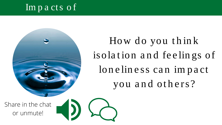### Impacts of



### Share in the chat or unmute!



How do you think isolation and feelings of loneliness can impact you and others?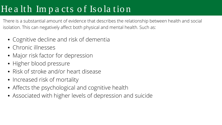# Health Impacts of Isolation

There is a substantial amount of evidence that describes the relationship between health and social isolation. This can negatively affect both physical and mental health. Such as:

- Cognitive decline and risk of dementia
- Chronic illnesses
- Major risk factor for depression
- · Higher blood pressure
- Risk of stroke and/or heart disease
- Increased risk of mortality
- Affects the psychological and cognitive health
- Associated with higher levels of depression and suicide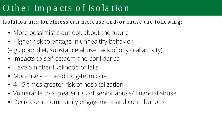## O ther Impacts of Isolation

Isolation and loneliness can increase and/or cause the following:

- More pessimistic outlook about the future
- Higher risk to engage in unhealthy behavior (e.g., poor diet, substance abuse, lack of physical activity)
- Impacts to self-esteem and confidence
- Have a higher likelihood of falls
- More likely to need long-term care
- 4 5 times greater risk of hospitalization
- Vulnerable to a greater risk of senior abuse/ financial abuse
- Decrease in community engagement and contributions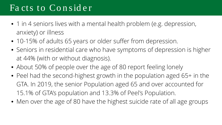### Fa cts to Co n sid e r

- 1 in 4 seniors lives with a mental health problem (e.g. depression, anxiety) or illness
- 10-15% of adults 65 years or older suffer from depression.
- Seniors in residential care who have symptoms of depression is higher at 44% (with or without diagnosis).
- About 50% of people over the age of 80 report feeling lonely
- Peel had the second-highest growth in the population aged 65+ in the GTA. In 2019, the senior Population aged 65 and over accounted for 15.1% of GTA's population and 13.3% of Peel's Population.
- Men over the age of 80 have the highest suicide rate of all age groups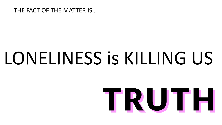### THE FACT OF THE MATTER IS...

# LONELINESS is KILLING US

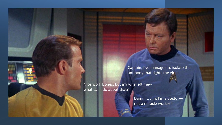Captain, I've managed to isolate the antibody that fights the virus.

Nice work Bones, but my wife left me- what can I do about that?

> Damn it, Jim, I'm a doctornot a miracle worker!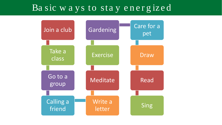## Ba sic w a y s to sta y e n e r g ize d



# pet

### Draw

### Read

### **Sing**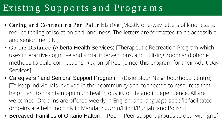# Ex istin g Su p p o r ts a n d Pr o g r a m s

- Caring and Connecting Pen Pal Initiative [Mostly one-way letters of kindness to reduce feeling of isolation and loneliness. The letters are formatted to be accessible and senior friendly.]
- Go the Distance (Alberta Health Services) [Therapeutic Recreation Program which uses interactive cognitive and social interventions, and utilizing Zoom and phone methods to build connections. Region of Peel joined this program for their Adult Day Services]
- Caregivers ' and Seniors' Support Program (Dixie Bloor Neighbourhood Centre) [To keep individuals involved in their community and connected to resources that help them to maintain optimum health, quality of life and independence. All are welcomed. Drop-ins are offered weekly in English, and language-specific facilitated drop-ins are held monthly in Mandarin, Urdu/Hindi/Punjabi and Polish.]
- Bereaved Families of Ontario Halton -Peel Peer support groups to deal with grief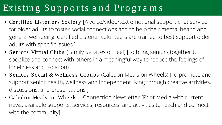# Existing Supports and Programs

- Certified Listeners Society [A voice/video/text emotional support chat service for older adults to foster social connections and to help their mental health and general well-being. Certified Listener volunteers are trained to best support older adults with specific issues.]
- Seniors Virtual Clubs (Family Services of Peel) [To bring seniors together to socialize and connect with others in a meaningful way to reduce the feelings of loneliness and isolation)
- Seniors Social & Wellness Groups (Caledon Meals on Wheels) [To promote and support senior health, wellness and independent living through creative activities, discussions, and presentations.]
- Caledon Meals on Wheels Connection Newsletter [Print Media with current news, available supports, services, resources, and activities to reach and connect with the community]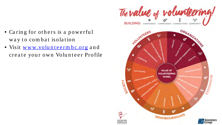

- Caring for others is a powerful way to combat isolation
- Visit www.volunteermbc.org and create your own Volunteer Profile

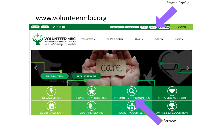

**Browse**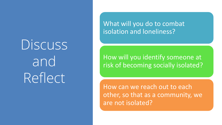Discuss and Reflect

### What will you do to combat isolation and loneliness?

### How will you identify someone at risk of becoming socially isolated?

How can we reach out to each other, so that as a community, we are not isolated?